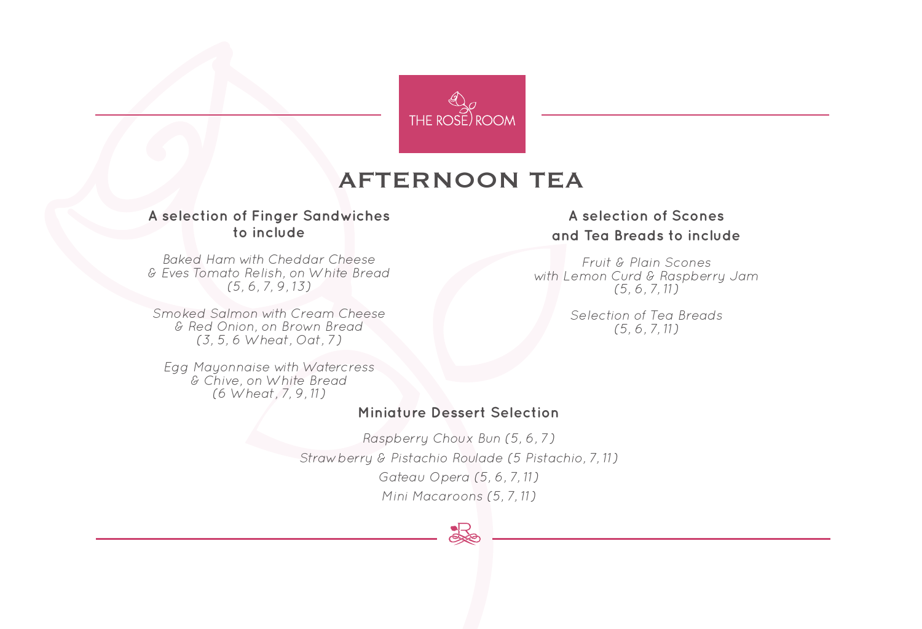

# AFTERNOON TEA

#### **A selection of Finger Sandwiches to include**

*Baked Ham with Cheddar Cheese & Eves Tomato Relish, on White Bread (5, 6, 7, 9, 13)*

*Smoked Salmon with Cream Cheese & Red Onion, on Brown Bread (3, 5, 6 Wheat, Oat, 7)*

*Egg Mayonnaise with Watercress & Chive, on White Bread (6 Wheat, 7, 9, 11)*

### **Miniature Dessert Selection**

*Raspberry Choux Bun (5, 6, 7) Strawberry & Pistachio Roulade (5 Pistachio, 7, 11) Gateau Opera (5, 6, 7, 11) Mini Macaroons (5, 7, 11)* 



## **A selection of Scones and Tea Breads to include**

*Fruit & Plain Scones with Lemon Curd & Raspberry Jam (5, 6, 7, 11)* 

> *Selection of Tea Breads (5, 6, 7, 11)*